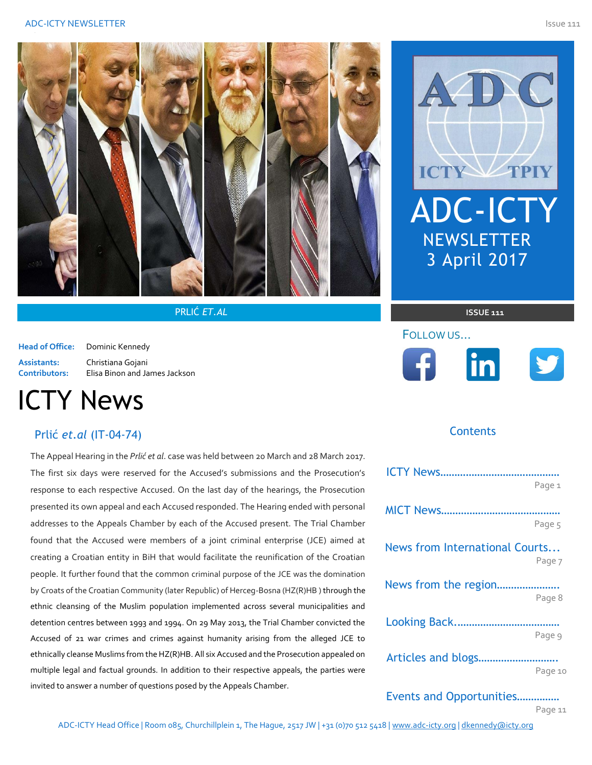

PRLIĆ *ET.AL* **ISSUE 111**

**Head of Office:** Dominic Kennedy

**Assistants:** Christiana Gojani **Contributors:** Elisa Binon and James Jackson

# ICTY News

### Prlić *et.al* (IT-04-74)

The Appeal Hearing in the *Prlić et al*. case was held between 20 March and 28 March 2017. The first six days were reserved for the Accused's submissions and the Prosecution's response to each respective Accused. On the last day of the hearings, the Prosecution presented its own appeal and each Accused responded. The Hearing ended with personal addresses to the Appeals Chamber by each of the Accused present. The Trial Chamber found that the Accused were members of a joint criminal enterprise (JCE) aimed at creating a Croatian entity in BiH that would facilitate the reunification of the Croatian people. It further found that the common criminal purpose of the JCE was the domination by Croats of the Croatian Community (later Republic) of Herceg-Bosna (HZ(R)HB ) through the ethnic cleansing of the Muslim population implemented across several municipalities and detention centres between 1993 and 1994. On 29 May 2013, the Trial Chamber convicted the Accused of 21 war crimes and crimes against humanity arising from the alleged JCE to ethnically cleanse Muslims from the HZ(R)HB. All six Accused and the Prosecution appealed on multiple legal and factual grounds. In addition to their respective appeals, the parties were invited to answer a number of questions posed by the Appeals Chamber.



# FOLLOW US…  $\left| \cdot \right|$ <u>linl</u>



#### *The views expressed herein are those of the author(s) alone and do not necessarily reflect the views of the Association of Defence Counsel Practicing Before the ICTY-And Representing Counsel Before the MICT or the International Criminal Tribunal for the former Yugoslavia*  **Contents**

|                                | Page 1  |
|--------------------------------|---------|
|                                |         |
|                                | Page 5  |
| News from International Courts |         |
|                                | Page 7  |
| News from the region           |         |
|                                | Page 8  |
|                                |         |
|                                | Page 9  |
|                                |         |
|                                | Page 10 |
|                                |         |

Events and Opportunities…………… Page 11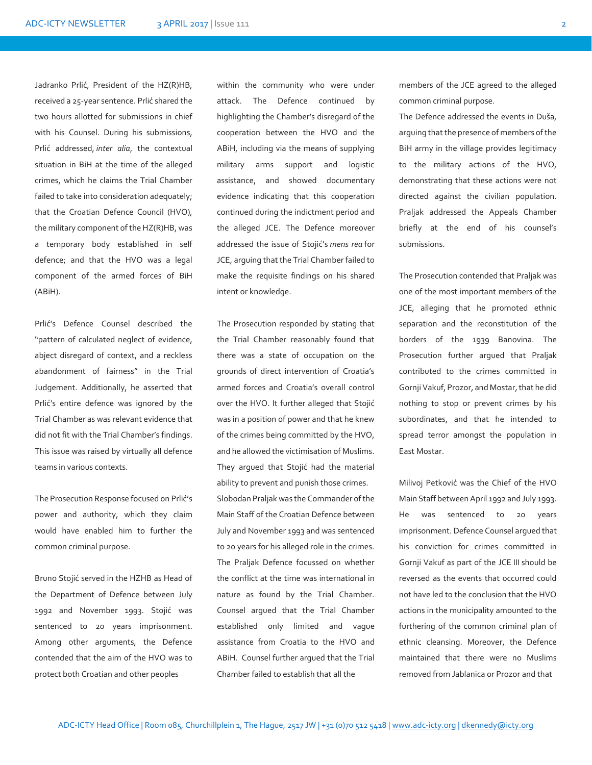Jadranko Prlić, President of the HZ(R)HB, received a 25-year sentence. Prlić shared the two hours allotted for submissions in chief with his Counsel. During his submissions, Prlić addressed, *inter alia*, the contextual situation in BiH at the time of the alleged crimes, which he claims the Trial Chamber failed to take into consideration adequately; that the Croatian Defence Council (HVO), the military component of the HZ(R)HB, was a temporary body established in self defence; and that the HVO was a legal component of the armed forces of BiH (ABiH).

Prlić's Defence Counsel described the "pattern of calculated neglect of evidence, abject disregard of context, and a reckless abandonment of fairness" in the Trial Judgement. Additionally, he asserted that Prlić's entire defence was ignored by the Trial Chamber as was relevant evidence that did not fit with the Trial Chamber's findings. This issue was raised by virtually all defence teams in various contexts.

The Prosecution Response focused on Prlić's power and authority, which they claim would have enabled him to further the common criminal purpose.

Bruno Stojić served in the HZHB as Head of the Department of Defence between July 1992 and November 1993. Stojić was sentenced to 20 years imprisonment. Among other arguments, the Defence contended that the aim of the HVO was to protect both Croatian and other peoples

within the community who were under attack. The Defence continued by highlighting the Chamber's disregard of the cooperation between the HVO and the ABiH, including via the means of supplying military arms support and logistic assistance, and showed documentary evidence indicating that this cooperation continued during the indictment period and the alleged JCE. The Defence moreover addressed the issue of Stojić's *mens rea* for JCE, arguing that the Trial Chamber failed to make the requisite findings on his shared intent or knowledge.

The Prosecution responded by stating that the Trial Chamber reasonably found that there was a state of occupation on the grounds of direct intervention of Croatia's armed forces and Croatia's overall control over the HVO. It further alleged that Stojić was in a position of power and that he knew of the crimes being committed by the HVO, and he allowed the victimisation of Muslims. They argued that Stojić had the material ability to prevent and punish those crimes. Slobodan Praljak was the Commander of the Main Staff of the Croatian Defence between July and November 1993 and was sentenced to 20 years for his alleged role in the crimes. The Praljak Defence focussed on whether the conflict at the time was international in nature as found by the Trial Chamber. Counsel argued that the Trial Chamber established only limited and vague assistance from Croatia to the HVO and ABiH. Counsel further argued that the Trial Chamber failed to establish that all the

members of the JCE agreed to the alleged common criminal purpose.

The Defence addressed the events in Duša, arguing that the presence of members of the BiH army in the village provides legitimacy to the military actions of the HVO, demonstrating that these actions were not directed against the civilian population. Praljak addressed the Appeals Chamber briefly at the end of his counsel's submissions.

The Prosecution contended that Praljak was one of the most important members of the JCE, alleging that he promoted ethnic separation and the reconstitution of the borders of the 1939 Banovina. The Prosecution further argued that Praljak contributed to the crimes committed in Gornji Vakuf, Prozor, and Mostar, that he did nothing to stop or prevent crimes by his subordinates, and that he intended to spread terror amongst the population in East Mostar.

Milivoj Petković was the Chief of the HVO Main Staff between April 1992 and July 1993. He was sentenced to 20 years imprisonment. Defence Counsel argued that his conviction for crimes committed in Gornji Vakuf as part of the JCE III should be reversed as the events that occurred could not have led to the conclusion that the HVO actions in the municipality amounted to the furthering of the common criminal plan of ethnic cleansing. Moreover, the Defence maintained that there were no Muslims removed from Jablanica or Prozor and that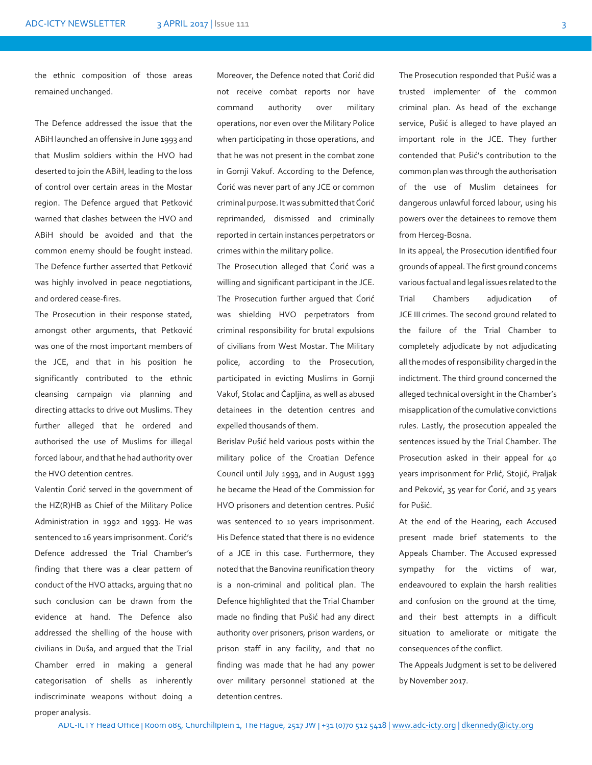the ethnic composition of those areas remained unchanged.

The Defence addressed the issue that the ABiH launched an offensive in June 1993 and that Muslim soldiers within the HVO had deserted to join the ABiH, leading to the loss of control over certain areas in the Mostar region. The Defence argued that Petković warned that clashes between the HVO and ABiH should be avoided and that the common enemy should be fought instead. The Defence further asserted that Petković was highly involved in peace negotiations, and ordered cease-fires.

The Prosecution in their response stated, amongst other arguments, that Petković was one of the most important members of the JCE, and that in his position he significantly contributed to the ethnic cleansing campaign via planning and directing attacks to drive out Muslims. They further alleged that he ordered and authorised the use of Muslims for illegal forced labour, and that he had authority over the HVO detention centres.

Valentin Ćorić served in the government of the HZ(R)HB as Chief of the Military Police Administration in 1992 and 1993. He was sentenced to 16 years imprisonment. Ćorić's Defence addressed the Trial Chamber's finding that there was a clear pattern of conduct of the HVO attacks, arguing that no such conclusion can be drawn from the evidence at hand. The Defence also addressed the shelling of the house with civilians in Duša, and argued that the Trial Chamber erred in making a general categorisation of shells as inherently indiscriminate weapons without doing a proper analysis.

Moreover, the Defence noted that Ćorić did not receive combat reports nor have command authority over military operations, nor even over the Military Police when participating in those operations, and that he was not present in the combat zone in Gornji Vakuf. According to the Defence, Ćorić was never part of any JCE or common criminal purpose. It was submitted that Ćorić reprimanded, dismissed and criminally reported in certain instances perpetrators or crimes within the military police.

The Prosecution alleged that Ćorić was a willing and significant participant in the JCE. The Prosecution further argued that Ćorić was shielding HVO perpetrators from criminal responsibility for brutal expulsions of civilians from West Mostar. The Military police, according to the Prosecution, participated in evicting Muslims in Gornji Vakuf, Stolac and Čapljina, as well as abused detainees in the detention centres and expelled thousands of them.

Berislav Pušić held various posts within the military police of the Croatian Defence Council until July 1993, and in August 1993 he became the Head of the Commission for HVO prisoners and detention centres. Pušić was sentenced to 10 years imprisonment. His Defence stated that there is no evidence of a JCE in this case. Furthermore, they noted that the Banovina reunification theory is a non-criminal and political plan. The Defence highlighted that the Trial Chamber made no finding that Pušić had any direct authority over prisoners, prison wardens, or prison staff in any facility, and that no finding was made that he had any power over military personnel stationed at the detention centres.

The Prosecution responded that Pušić was a trusted implementer of the common criminal plan. As head of the exchange service, Pušić is alleged to have played an important role in the JCE. They further contended that Pušić's contribution to the common plan was through the authorisation of the use of Muslim detainees for dangerous unlawful forced labour, using his powers over the detainees to remove them from Herceg-Bosna.

In its appeal, the Prosecution identified four grounds of appeal. The first ground concerns various factual and legal issues related to the Trial Chambers adjudication of JCE III crimes. The second ground related to the failure of the Trial Chamber to completely adjudicate by not adjudicating all the modes of responsibility charged in the indictment. The third ground concerned the alleged technical oversight in the Chamber's misapplication of the cumulative convictions rules. Lastly, the prosecution appealed the sentences issued by the Trial Chamber. The Prosecution asked in their appeal for 40 years imprisonment for Prlić, Stojić, Praljak and Peković, 35 year for Ćorić, and 25 years for Pušić.

At the end of the Hearing, each Accused present made brief statements to the Appeals Chamber. The Accused expressed sympathy for the victims of war, endeavoured to explain the harsh realities and confusion on the ground at the time, and their best attempts in a difficult situation to ameliorate or mitigate the consequences of the conflict.

The Appeals Judgment is set to be delivered by November 2017.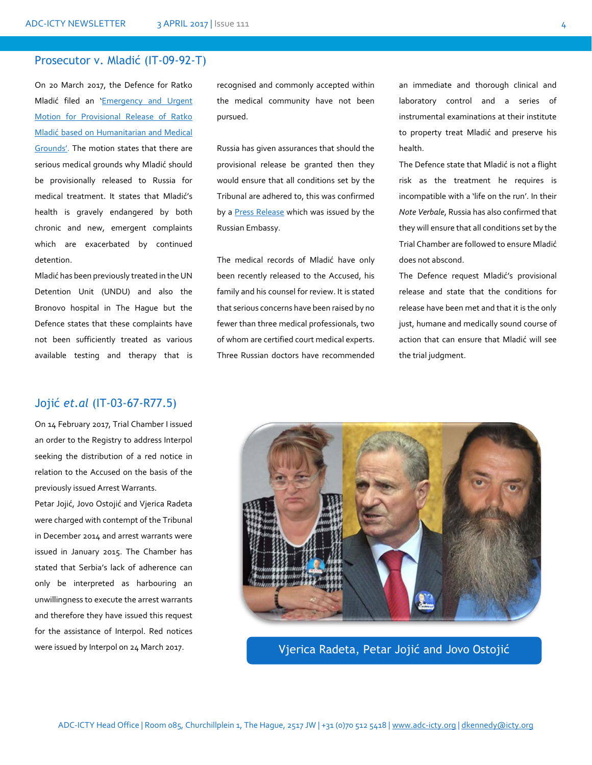#### Prosecutor v. Mladić (IT-09-92-T)

On 20 March 2017, the Defence for Ratko Mladić filed an '[Emergency and Urgent](http://icty.org/x/cases/mladic/custom1/en/170320.pdf)  [Motion for Provisional Release of Ratko](http://icty.org/x/cases/mladic/custom1/en/170320.pdf)  Mladić [based on Humanitarian and Medical](http://icty.org/x/cases/mladic/custom1/en/170320.pdf)  [Grounds'](http://icty.org/x/cases/mladic/custom1/en/170320.pdf). The motion states that there are serious medical grounds why Mladić should be provisionally released to Russia for medical treatment. It states that Mladić's health is gravely endangered by both chronic and new, emergent complaints which are exacerbated by continued detention.

Mladić has been previously treated in the UN Detention Unit (UNDU) and also the Bronovo hospital in The Hague but the Defence states that these complaints have not been sufficiently treated as various available testing and therapy that is

### Jojić *et.al* (IT-03-67-R77.5)

On 14 February 2017, Trial Chamber I issued an order to the Registry to address Interpol seeking the distribution of a red notice in relation to the Accused on the basis of the previously issued Arrest Warrants.

Petar Jojić, Jovo Ostojić and Vjerica Radeta were charged with contempt of the Tribunal in December 2014 and arrest warrants were issued in January 2015. The Chamber has stated that Serbia's lack of adherence can only be interpreted as harbouring an unwillingness to execute the arrest warrants and therefore they have issued this request for the assistance of Interpol. Red notices recognised and commonly accepted within the medical community have not been pursued.

Russia has given assurances that should the provisional release be granted then they would ensure that all conditions set by the Tribunal are adhered to, this was confirmed by a [Press Release](http://www.mid.ru/en/web/guest/maps/rs/-/asset_publisher/GLz7aPgDnSfP/content/id/2701167) which was issued by the Russian Embassy.

The medical records of Mladić have only been recently released to the Accused, his family and his counsel for review. It is stated that serious concerns have been raised by no fewer than three medical professionals, two of whom are certified court medical experts. Three Russian doctors have recommended

an immediate and thorough clinical and laboratory control and a series of instrumental examinations at their institute to property treat Mladić and preserve his health.

The Defence state that Mladić is not a flight risk as the treatment he requires is incompatible with a 'life on the run'. In their *Note Verbale*, Russia has also confirmed that they will ensure that all conditions set by the Trial Chamber are followed to ensure Mladić does not abscond.

The Defence request Mladić's provisional release and state that the conditions for release have been met and that it is the only just, humane and medically sound course of action that can ensure that Mladić will see the trial judgment.



were issued by Interpol on 24 March 2017. Vjerica Radeta, Petar Jojić and Jovo Ostojić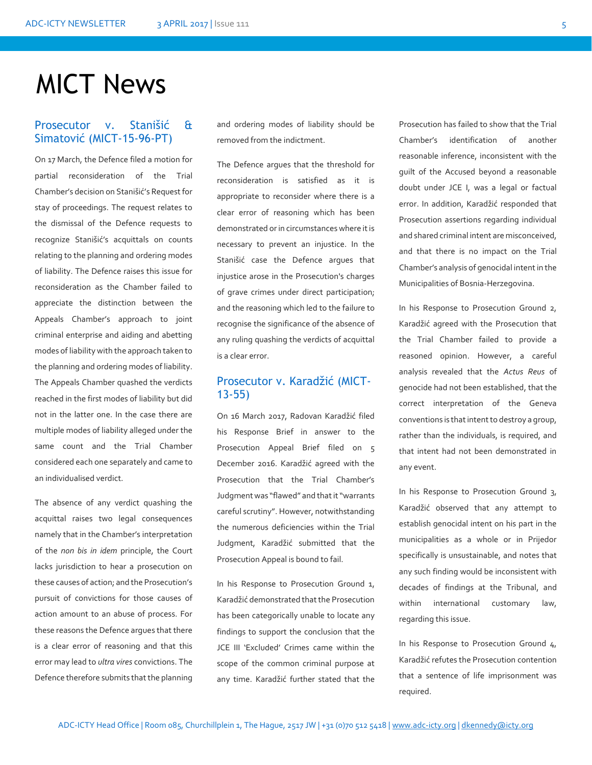# MICT News

### Prosecutor v. Stanišić & Simatović (MICT-15-96-PT)

On 17 March, the Defence filed a motion for partial reconsideration of the Trial Chamber's decision on Stanišić's Request for stay of proceedings. The request relates to the dismissal of the Defence requests to recognize Stanišić's acquittals on counts relating to the planning and ordering modes of liability. The Defence raises this issue for reconsideration as the Chamber failed to appreciate the distinction between the Appeals Chamber's approach to joint criminal enterprise and aiding and abetting modes of liability with the approach taken to the planning and ordering modes of liability. The Appeals Chamber quashed the verdicts reached in the first modes of liability but did not in the latter one. In the case there are multiple modes of liability alleged under the same count and the Trial Chamber considered each one separately and came to an individualised verdict.

The absence of any verdict quashing the acquittal raises two legal consequences namely that in the Chamber's interpretation of the *non bis in idem* principle, the Court lacks jurisdiction to hear a prosecution on these causes of action; and the Prosecution's pursuit of convictions for those causes of action amount to an abuse of process. For these reasons the Defence argues that there is a clear error of reasoning and that this error may lead to *ultra vires* convictions. The Defence therefore submits that the planning

and ordering modes of liability should be removed from the indictment.

The Defence argues that the threshold for reconsideration is satisfied as it is appropriate to reconsider where there is a clear error of reasoning which has been demonstrated or in circumstances where it is necessary to prevent an injustice. In the Stanišić case the Defence argues that injustice arose in the Prosecution's charges of grave crimes under direct participation; and the reasoning which led to the failure to recognise the significance of the absence of any ruling quashing the verdicts of acquittal is a clear error.

#### Prosecutor v. Karadžić (MICT-13-55)

On 16 March 2017, Radovan Karadžić filed his Response Brief in answer to the Prosecution Appeal Brief filed on 5 December 2016. Karadžić agreed with the Prosecution that the Trial Chamber's Judgment was "flawed" and that it "warrants careful scrutiny". However, notwithstanding the numerous deficiencies within the Trial Judgment, Karadžić submitted that the Prosecution Appeal is bound to fail.

In his Response to Prosecution Ground 1, Karadžić demonstrated that the Prosecution has been categorically unable to locate any findings to support the conclusion that the JCE III 'Excluded' Crimes came within the scope of the common criminal purpose at any time. Karadžić further stated that the

Prosecution has failed to show that the Trial Chamber's identification of another reasonable inference, inconsistent with the guilt of the Accused beyond a reasonable doubt under JCE I, was a legal or factual error. In addition, Karadžić responded that Prosecution assertions regarding individual and shared criminal intent are misconceived, and that there is no impact on the Trial Chamber's analysis of genocidal intent in the Municipalities of Bosnia-Herzegovina.

In his Response to Prosecution Ground 2, Karadžić agreed with the Prosecution that the Trial Chamber failed to provide a reasoned opinion. However, a careful analysis revealed that the *Actus Reus* of genocide had not been established, that the correct interpretation of the Geneva conventions is that intent to destroy a group, rather than the individuals, is required, and that intent had not been demonstrated in any event.

In his Response to Prosecution Ground 3, Karadžić observed that any attempt to establish genocidal intent on his part in the municipalities as a whole or in Prijedor specifically is unsustainable, and notes that any such finding would be inconsistent with decades of findings at the Tribunal, and within international customary law, regarding this issue.

In his Response to Prosecution Ground 4, Karadžić refutes the Prosecution contention that a sentence of life imprisonment was required.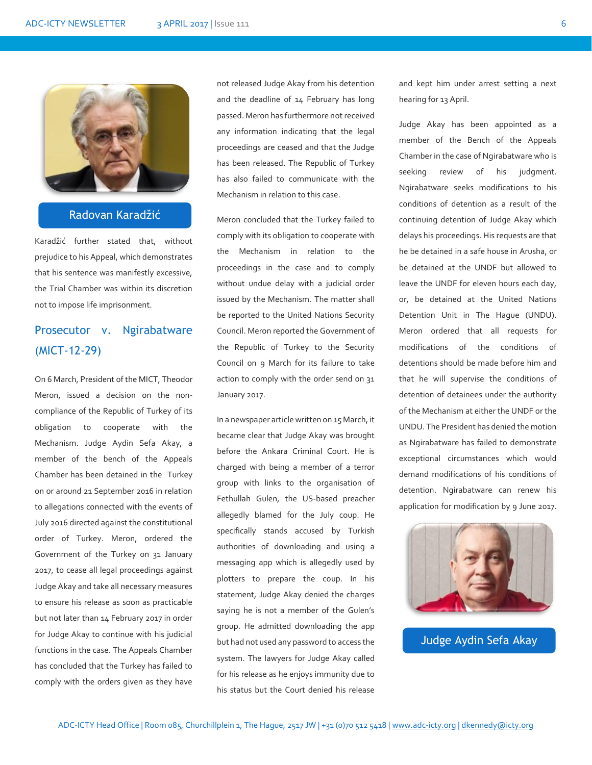

### Radovan Karadžić

Karadžić further stated that, without prejudice to his Appeal, which demonstrates that his sentence was manifestly excessive, the Trial Chamber was within its discretion not to impose life imprisonment.

## Prosecutor v. Ngirabatware (MICT-12-29)

On 6 March, President of the MICT, Theodor Meron, issued a decision on the noncompliance of the Republic of Turkey of its obligation to cooperate with the Mechanism. Judge Aydin Sefa Akay, a member of the bench of the Appeals Chamber has been detained in the Turkey on or around 21 September 2016 in relation to allegations connected with the events of July 2016 directed against the constitutional order of Turkey. Meron, ordered the Government of the Turkey on 31 January 2017, to cease all legal proceedings against Judge Akay and take all necessary measures to ensure his release as soon as practicable but not later than 14 February 2017 in order for Judge Akay to continue with his judicial functions in the case. The Appeals Chamber has concluded that the Turkey has failed to comply with the orders given as they have

not released Judge Akay from his detention and the deadline of 14 February has long passed. Meron has furthermore not received any information indicating that the legal proceedings are ceased and that the Judge has been released. The Republic of Turkey has also failed to communicate with the Mechanism in relation to this case.

Meron concluded that the Turkey failed to comply with its obligation to cooperate with the Mechanism in relation to the proceedings in the case and to comply without undue delay with a judicial order issued by the Mechanism. The matter shall be reported to the United Nations Security Council. Meron reported the Government of the Republic of Turkey to the Security Council on 9 March for its failure to take action to comply with the order send on 31 January 2017.

In a newspaper article written on 15 March, it became clear that Judge Akay was brought before the Ankara Criminal Court. He is charged with being a member of a terror group with links to the organisation of Fethullah Gulen, the US-based preacher allegedly blamed for the July coup. He specifically stands accused by Turkish authorities of downloading and using a messaging app which is allegedly used by plotters to prepare the coup. In his statement, Judge Akay denied the charges saying he is not a member of the Gulen's group. He admitted downloading the app but had not used any password to access the system. The lawyers for Judge Akay called for his release as he enjoys immunity due to his status but the Court denied his release

and kept him under arrest setting a next hearing for 13 April.

Judge Akay has been appointed as a member of the Bench of the Appeals Chamber in the case of Ngirabatware who is seeking review of his judgment. Ngirabatware seeks modifications to his conditions of detention as a result of the continuing detention of Judge Akay which delays his proceedings. His requests are that he be detained in a safe house in Arusha, or be detained at the UNDF but allowed to leave the UNDF for eleven hours each day, or, be detained at the United Nations Detention Unit in The Hague (UNDU). Meron ordered that all requests for modifications of the conditions of detentions should be made before him and that he will supervise the conditions of detention of detainees under the authority of the Mechanism at either the UNDF or the UNDU. The President has denied the motion as Ngirabatware has failed to demonstrate exceptional circumstances which would demand modifications of his conditions of detention. Ngirabatware can renew his application for modification by 9 June 2017.



Judge Aydin Sefa Akay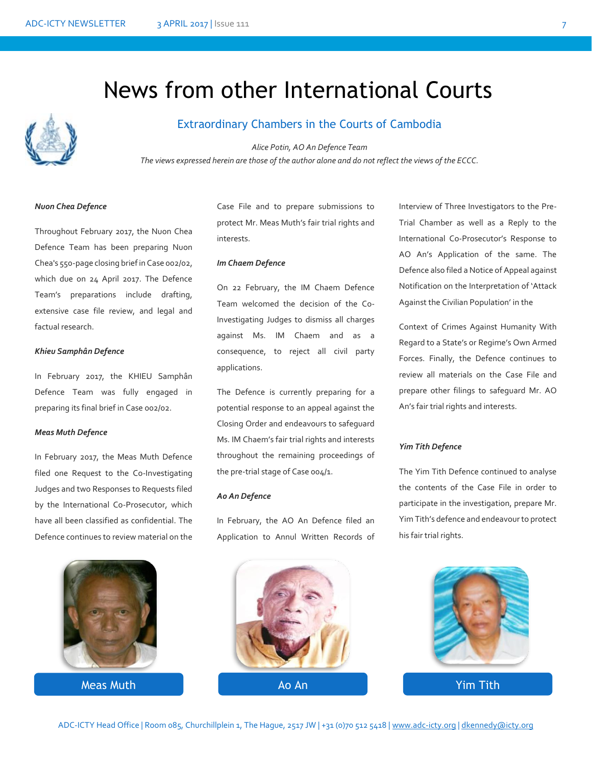# News from other International Courts



### Extraordinary Chambers in the Courts of Cambodia

*Alice Potin, AO An Defence Team The views expressed herein are those of the author alone and do not reflect the views of the ECCC.*

#### *Nuon Chea Defence*

Throughout February 2017, the Nuon Chea Defence Team has been preparing Nuon Chea's 550-page closing brief in Case 002/02, which due on 24 April 2017. The Defence Team's preparations include drafting, extensive case file review, and legal and factual research.

#### *Khieu Samphân Defence*

In February 2017, the KHIEU Samphân Defence Team was fully engaged in preparing its final brief in Case 002/02.

#### *Meas Muth Defence*

In February 2017, the Meas Muth Defence filed one Request to the Co-Investigating Judges and two Responses to Requests filed by the International Co-Prosecutor, which have all been classified as confidential. The Defence continues to review material on the



Meas Muth

Case File and to prepare submissions to protect Mr. Meas Muth's fair trial rights and interests.

#### *Im Chaem Defence*

On 22 February, the IM Chaem Defence Team welcomed the decision of the Co-Investigating Judges to dismiss all charges against Ms. IM Chaem and as a consequence, to reject all civil party applications.

The Defence is currently preparing for a potential response to an appeal against the Closing Order and endeavours to safeguard Ms. IM Chaem's fair trial rights and interests throughout the remaining proceedings of the pre-trial stage of Case 004/1.

#### *Ao An Defence*

In February, the AO An Defence filed an Application to Annul Written Records of



Interview of Three Investigators to the Pre-Trial Chamber as well as a Reply to the International Co-Prosecutor's Response to AO An's Application of the same. The Defence also filed a Notice of Appeal against Notification on the Interpretation of 'Attack Against the Civilian Population' in the

Context of Crimes Against Humanity With Regard to a State's or Regime's Own Armed Forces. Finally, the Defence continues to review all materials on the Case File and prepare other filings to safeguard Mr. AO An's fair trial rights and interests.

#### *Yim Tith Defence*

The Yim Tith Defence continued to analyse the contents of the Case File in order to participate in the investigation, prepare Mr. Yim Tith's defence and endeavour to protect his fair trial rights.

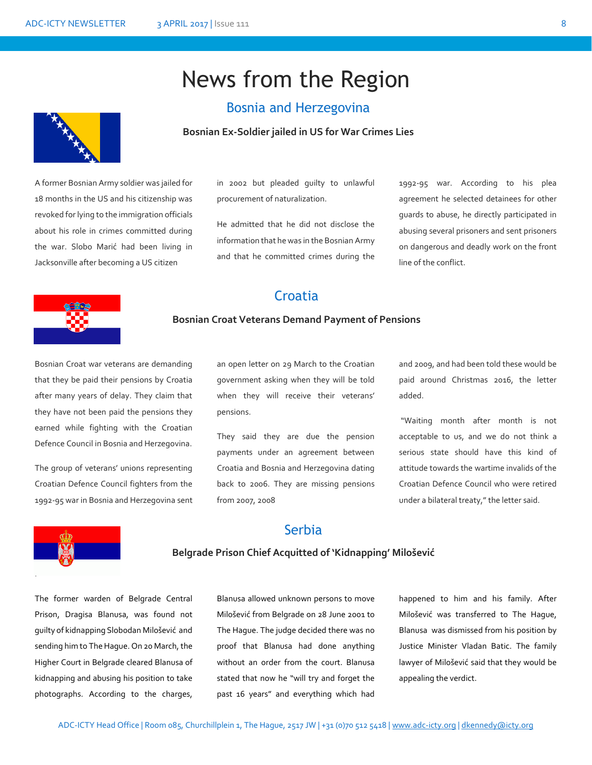# News from the Region

### Bosnia and Herzegovina



A former Bosnian Army soldier was jailed for 18 months in the US and his citizenship was revoked for lying to the immigration officials about his role in crimes committed during the war. Slobo Marić had been living in Jacksonville after becoming a US citizen

in 2002 but pleaded guilty to unlawful procurement of naturalization.

He admitted that he did not disclose the information that he was in the Bosnian Army and that he committed crimes during the

1992-95 war. According to his plea agreement he selected detainees for other guards to abuse, he directly participated in abusing several prisoners and sent prisoners on dangerous and deadly work on the front line of the conflict.

## **Croatia**



#### **Bosnian Croat Veterans Demand Payment of Pensions**

Bosnian Croat war veterans are demanding that they be paid their pensions by Croatia after many years of delay. They claim that they have not been paid the pensions they earned while fighting with the Croatian Defence Council in Bosnia and Herzegovina.

The group of veterans' unions representing Croatian Defence Council fighters from the 1992-95 war in Bosnia and Herzegovina sent

an open letter on 29 March to the Croatian government asking when they will be told when they will receive their veterans' pensions.

They said they are due the pension payments under an agreement between Croatia and Bosnia and Herzegovina dating back to 2006. They are missing pensions from 2007, 2008

and 2009, and had been told these would be paid around Christmas 2016, the letter added.

"Waiting month after month is not acceptable to us, and we do not think a serious state should have this kind of attitude towards the wartime invalids of the Croatian Defence Council who were retired under a bilateral treaty," the letter said.



## Serbia

### **Belgrade Prison Chief Acquitted of 'Kidnapping' Milošević**

The former warden of Belgrade Central Prison, Dragisa Blanusa, was found not guilty of kidnapping Slobodan Milošević and sending him to The Hague. On 20 March, the Higher Court in Belgrade cleared Blanusa of kidnapping and abusing his position to take photographs. According to the charges,

Blanusa allowed unknown persons to move Milošević from Belgrade on 28 June 2001 to The Hague. The judge decided there was no proof that Blanusa had done anything without an order from the court. Blanusa stated that now he "will try and forget the past 16 years" and everything which had

happened to him and his family. After Milošević was transferred to The Hague, Blanusa was dismissed from his position by Justice Minister Vladan Batic. The family lawyer of Milošević said that they would be appealing the verdict.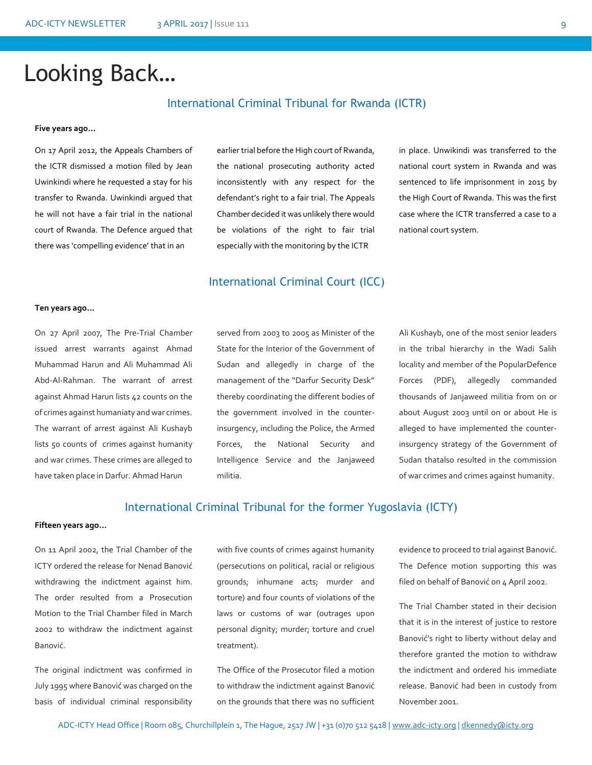# Looking Back…

### International Criminal Tribunal for Rwanda (ICTR)

#### **Five years ago…**

On 17 April 2012, the Appeals Chambers of the ICTR dismissed a motion filed by Jean Uwinkindi where he requested a stay for his transfer to Rwanda. Uwinkindi argued that he will not have a fair trial in the national court of Rwanda. The Defence argued that there was 'compelling evidence' that in an

earlier trial before the High court of Rwanda, the national prosecuting authority acted inconsistently with any respect for the defendant's right to a fair trial. The Appeals Chamber decided it was unlikely there would be violations of the right to fair trial especially with the monitoring by the ICTR

in place. Unwikindi was transferred to the national court system in Rwanda and was sentenced to life imprisonment in 2015 by the High Court of Rwanda. This was the first case where the ICTR transferred a case to a national court system.

### International Criminal Court (ICC)

#### **Ten years ago…**

On 27 April 2007, The Pre-Trial Chamber issued arrest warrants against Ahmad Muhammad Harun and Ali Muhammad Ali Abd-Al-Rahman. The warrant of arrest against Ahmad Harun lists 42 counts on the of crimes against humaniaty and war crimes. The warrant of arrest against Ali Kushayb lists 50 counts of crimes against humanity and war crimes. These crimes are alleged to have taken place in Darfur. Ahmad Harun

served from 2003 to 2005 as Minister of the State for the Interior of the Government of Sudan and allegedly in charge of the management of the "Darfur Security Desk" thereby coordinating the different bodies of the government involved in the counterinsurgency, including the Police, the Armed Forces, the National Security and Intelligence Service and the Janjaweed militia.

Ali Kushayb, one of the most senior leaders in the tribal hierarchy in the Wadi Salih locality and member of the PopularDefence Forces (PDF), allegedly commanded thousands of Janjaweed militia from on or about August 2003 until on or about He is alleged to have implemented the counterinsurgency strategy of the Government of Sudan thatalso resulted in the commission of war crimes and crimes against humanity.

#### International Criminal Tribunal for the former Yugoslavia (ICTY)

#### **Fifteen years ago…**

On 11 April 2002, the Trial Chamber of the ICTY ordered the release for Nenad Banović withdrawing the indictment against him. The order resulted from a Prosecution Motion to the Trial Chamber filed in March 2002 to withdraw the indictment against Banović.

The original indictment was confirmed in July 1995 where Banović was charged on the basis of individual criminal responsibility

with five counts of crimes against humanity (persecutions on political, racial or religious grounds; inhumane acts; murder and torture) and four counts of violations of the laws or customs of war (outrages upon personal dignity; murder; torture and cruel treatment).

The Office of the Prosecutor filed a motion to withdraw the indictment against Banović on the grounds that there was no sufficient

evidence to proceed to trial against Banović. The Defence motion supporting this was filed on behalf of Banović on 4 April 2002.

The Trial Chamber stated in their decision that it is in the interest of justice to restore Banović's right to liberty without delay and therefore granted the motion to withdraw the indictment and ordered his immediate release. Banović had been in custody from November 2001.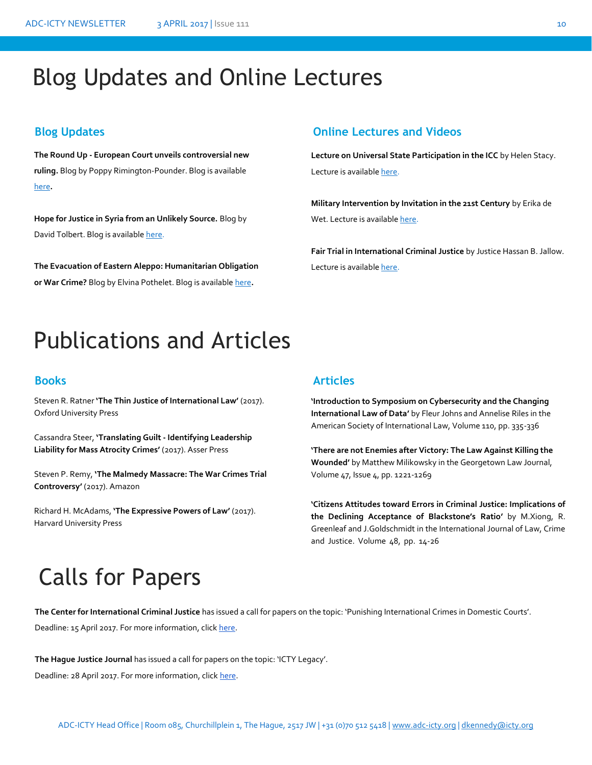# Blog Updates and Online Lectures

**The Round Up - European Court unveils controversial new ruling.** Blog by Poppy Rimington-Pounder. Blog is available [here](https://ukhumanrightsblog.com/2017/03/17/the-round-up-european-court-unveils-controversial-new-ruling/#more-34053)**.** 

**Hope for Justice in Syria from an Unlikely Source.** Blog by David Tolbert. Blog is availabl[e here.](http://ilawyerblog.com/hope-for-justice-in-syria-from-an-unlikely-source/#more-2974)

**The Evacuation of Eastern Aleppo: Humanitarian Obligation or War Crime?** Blog by Elvina Pothelet. Blog is availabl[e here](http://www.ejiltalk.org/the-evacuation-of-eastern-aleppo-humanitarian-obligation-or-war-crime/#more-15063)**.**

## **Blog Updates Online Lectures and Videos**

**Lecture on Universal State Participation in the ICC** by Helen Stacy. Lecture is availabl[e here.](http://iccforum.com/forum/universality-lecture)

**Military Intervention by Invitation in the 21st Century** by Erika de Wet. Lecture is availabl[e here.](http://www.esil-sedi.eu/node/288)

**Fair Trial in International Criminal Justice** by Justice Hassan B. Jallow. Lecture is availabl[e here.](http://legal.un.org/avl/ls/Jallow_CLP.html)

# Publications and Articles

Steven R. Ratner **'The Thin Justice of International Law'** (2017). Oxford University Press

Cassandra Steer, **'Translating Guilt - Identifying Leadership Liability for Mass Atrocity Crimes'** (2017). Asser Press

Steven P. Remy, **'The Malmedy Massacre: The War Crimes Trial Controversy'** (2017). Amazon

Richard H. McAdams, **'The Expressive Powers of Law'** (2017). Harvard University Press

### **Books Articles**

**'Introduction to Symposium on Cybersecurity and the Changing International Law of Data'** by Fleur Johns and Annelise Riles in the American Society of International Law, Volume 110, pp. 335-336

**'There are not Enemies after Victory: The Law Against Killing the Wounded'** by Matthew Milikowsky in the Georgetown Law Journal, Volume 47, Issue 4, pp. 1221-1269

**'Citizens Attitudes toward Errors in Criminal Justice: Implications of the Declining Acceptance of Blackstone's Ratio'** by M.Xiong, R. Greenleaf and J.Goldschmidt in the International Journal of Law, Crime and Justice. Volume 48, pp. 14-26

# Calls for Papers

**The Center for International Criminal Justice** has issued a call for papers on the topic: 'Punishing International Crimes in Domestic Courts'. pers

Deadline: 15 April 2017. For more information, clic[k here.](https://cicj.org/2017/03/call-for-papers-conference-12-june-on-punishing-international-crimes-in-domestic-courts/) 

**The Hague Justice Journal** has issued a call for papers on the topic: 'ICTY Legacy'.

Deadline: 28 April 2017. For more information, clic[k here.](http://www.internationallawobserver.eu/2017/02/28/call-for-papers-hague-justice-journal/)